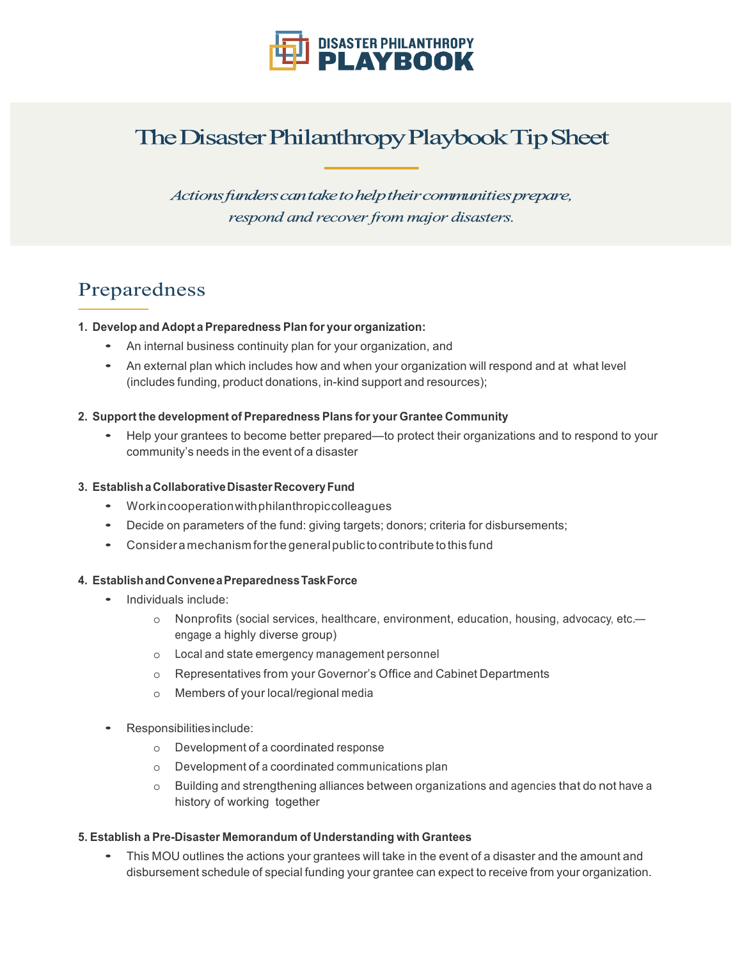

# The Disaster Philanthropy Playbook Tip Sheet

Actions funders can take to help their communities prepare, respond and recover from major disasters.

### Preparedness

#### **1. Develop and Adopt a Preparedness Plan for your organization:**

- An internal business continuity plan for your organization, and
- An external plan which includes how and when your organization will respond and at what level (includes funding, product donations, in-kind support and resources);

#### **2. Support the development of Preparedness Plans for your Grantee Community**

• Help your grantees to become better prepared—to protect their organizations and to respond to your community's needs in the event of a disaster

#### **3. EstablishaCollaborativeDisasterRecoveryFund**

- Workincooperationwithphilanthropiccolleagues
- Decide on parameters of the fund: giving targets; donors; criteria for disbursements;
- Considera mechanism forthe generalpublic to contribute to this fund

#### **4. EstablishandConveneaPreparednessTaskForce**

- Individuals include:
	- o Nonprofits (social services, healthcare, environment, education, housing, advocacy, etc. engage a highly diverse group)
	- o Local and state emergency management personnel
	- o Representatives from your Governor's Office and Cabinet Departments
	- o Members of your local/regional media
- Responsibilitiesinclude:
	- o Development of a coordinated response
	- o Development of a coordinated communications plan
	- o Building and strengthening alliances between organizations and agencies that do not have a history of working together

#### **5. Establish a Pre-Disaster Memorandum of Understanding with Grantees**

• This MOU outlines the actions your grantees will take in the event of <sup>a</sup> disaster and the amount and disbursement schedule of special funding your grantee can expect to receive from your organization.